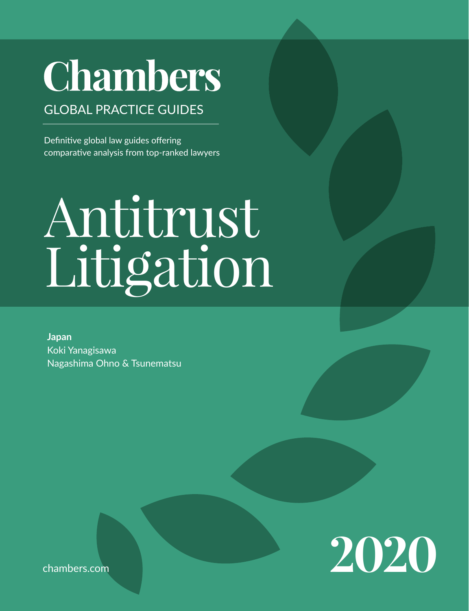# **Chambers**

# GLOBAL PRACTICE GUIDES

Definitive global law guides offering comparative analysis from top-ranked lawyers

# Antitrust Litigation

**Japan** Koki Yanagisawa Nagashima Ohno & Tsunematsu



chambers.com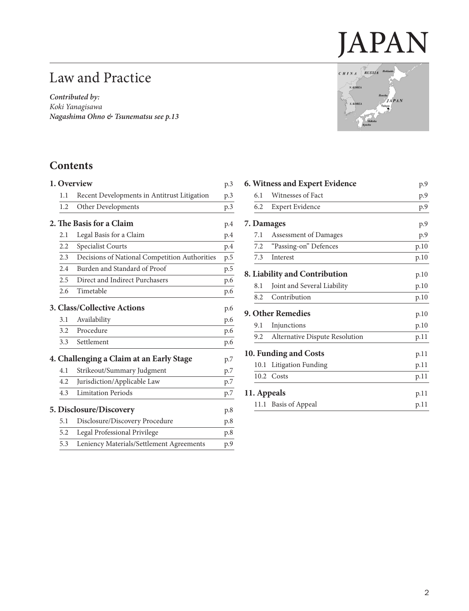# JAPAN

# Law and Practice

*Contributed by: Koki Yanagisawa Nagashima Ohno & Tsunemats[u see p.13](#page-12-0)*

# $CHINA$  RUSSIA Hokkaido N. KOREA **JAPAN** S. KOREA kyo

# **Contents**

|                                          |               | 1. Overview                                   | p.3 |  |
|------------------------------------------|---------------|-----------------------------------------------|-----|--|
|                                          | 1.1           | Recent Developments in Antitrust Litigation   | p.3 |  |
|                                          | 1.2           | Other Developments                            | p.3 |  |
|                                          |               | 2. The Basis for a Claim                      | p.4 |  |
|                                          | 2.1           | Legal Basis for a Claim                       | p.4 |  |
|                                          | 2.2           | Specialist Courts                             | p.4 |  |
|                                          | 2.3           | Decisions of National Competition Authorities | p.5 |  |
|                                          | 2.4           | Burden and Standard of Proof                  | p.5 |  |
|                                          | $2.5^{\circ}$ | Direct and Indirect Purchasers                | p.6 |  |
|                                          | 2.6           | Timetable                                     | p.6 |  |
| 3. Class/Collective Actions              |               |                                               |     |  |
|                                          | 3.1           | Availability                                  | p.6 |  |
|                                          | 3.2           | Procedure                                     | p.6 |  |
|                                          | 3.3           | Settlement                                    | p.6 |  |
| 4. Challenging a Claim at an Early Stage |               |                                               |     |  |
|                                          | 4.1           | Strikeout/Summary Judgment                    | p.7 |  |
|                                          | 4.2           | Jurisdiction/Applicable Law                   | p.7 |  |
|                                          | 4.3           | <b>Limitation Periods</b>                     | p.7 |  |
|                                          |               | 5. Disclosure/Discovery                       | p.8 |  |
|                                          | 5.1           | Disclosure/Discovery Procedure                | p.8 |  |
|                                          | 5.2           | Legal Professional Privilege                  | p.8 |  |
|                                          | 5.3           | Leniency Materials/Settlement Agreements      | p.9 |  |

| 6. Witness and Expert Evidence | p.9        |                                |      |  |
|--------------------------------|------------|--------------------------------|------|--|
|                                | 6.1        | Witnesses of Fact              | p.9  |  |
|                                | 6.2        | Expert Evidence                | p.9  |  |
|                                | 7. Damages | p.9                            |      |  |
|                                | 7.1        | Assessment of Damages          | p.9  |  |
|                                | 7.2        | "Passing-on" Defences          | p.10 |  |
|                                | 7.3        | Interest                       | p.10 |  |
| 8. Liability and Contribution  | p.10       |                                |      |  |
|                                | 8.1        | Joint and Several Liability    | p.10 |  |
|                                | 8.2        | Contribution                   | p.10 |  |
| 9. Other Remedies              | p.10       |                                |      |  |
|                                | 9.1        | Injunctions                    | p.10 |  |
|                                | 9.2        | Alternative Dispute Resolution | p.11 |  |
| 10. Funding and Costs          |            |                                |      |  |
|                                | 10.1       | Litigation Funding             | p.11 |  |
|                                |            | 10.2 Costs                     | p.11 |  |
| 11. Appeals<br>p.11            |            |                                |      |  |
|                                |            | 11.1 Basis of Appeal           | p.11 |  |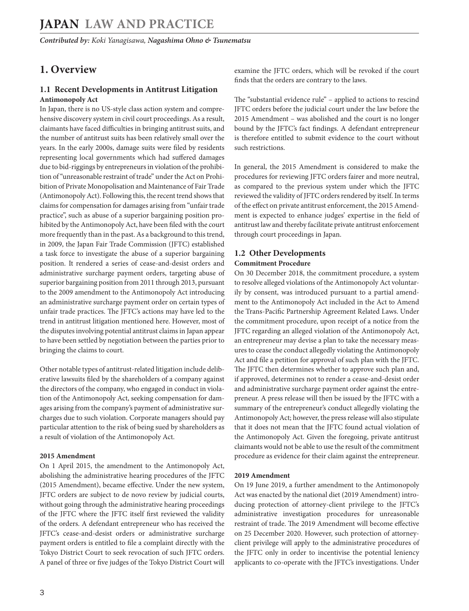#### <span id="page-2-0"></span>**1. Overview**

#### **1.1 Recent Developments in Antitrust Litigation Antimonopoly Act**

In Japan, there is no US-style class action system and comprehensive discovery system in civil court proceedings. As a result, claimants have faced difficulties in bringing antitrust suits, and the number of antitrust suits has been relatively small over the years. In the early 2000s, damage suits were filed by residents representing local governments which had suffered damages due to bid-riggings by entrepreneurs in violation of the prohibition of "unreasonable restraint of trade" under the Act on Prohibition of Private Monopolisation and Maintenance of Fair Trade (Antimonopoly Act). Following this, the recent trend shows that claims for compensation for damages arising from "unfair trade practice", such as abuse of a superior bargaining position prohibited by the Antimonopoly Act, have been filed with the court more frequently than in the past. As a background to this trend, in 2009, the Japan Fair Trade Commission (JFTC) established a task force to investigate the abuse of a superior bargaining position. It rendered a series of cease-and-desist orders and administrative surcharge payment orders, targeting abuse of superior bargaining position from 2011 through 2013, pursuant to the 2009 amendment to the Antimonopoly Act introducing an administrative surcharge payment order on certain types of unfair trade practices. The JFTC's actions may have led to the trend in antitrust litigation mentioned here. However, most of the disputes involving potential antitrust claims in Japan appear to have been settled by negotiation between the parties prior to bringing the claims to court.

Other notable types of antitrust-related litigation include deliberative lawsuits filed by the shareholders of a company against the directors of the company, who engaged in conduct in violation of the Antimonopoly Act, seeking compensation for damages arising from the company's payment of administrative surcharges due to such violation. Corporate managers should pay particular attention to the risk of being sued by shareholders as a result of violation of the Antimonopoly Act.

#### **2015 Amendment**

On 1 April 2015, the amendment to the Antimonopoly Act, abolishing the administrative hearing procedures of the JFTC (2015 Amendment), became effective. Under the new system, JFTC orders are subject to de novo review by judicial courts, without going through the administrative hearing proceedings of the JFTC where the JFTC itself first reviewed the validity of the orders. A defendant entrepreneur who has received the JFTC's cease-and-desist orders or administrative surcharge payment orders is entitled to file a complaint directly with the Tokyo District Court to seek revocation of such JFTC orders. A panel of three or five judges of the Tokyo District Court will examine the JFTC orders, which will be revoked if the court finds that the orders are contrary to the laws.

The "substantial evidence rule" – applied to actions to rescind JFTC orders before the judicial court under the law before the 2015 Amendment – was abolished and the court is no longer bound by the JFTC's fact findings. A defendant entrepreneur is therefore entitled to submit evidence to the court without such restrictions.

In general, the 2015 Amendment is considered to make the procedures for reviewing JFTC orders fairer and more neutral, as compared to the previous system under which the JFTC reviewed the validity of JFTC orders rendered by itself. In terms of the effect on private antitrust enforcement, the 2015 Amendment is expected to enhance judges' expertise in the field of antitrust law and thereby facilitate private antitrust enforcement through court proceedings in Japan.

#### **1.2 Other Developments**

#### **Commitment Procedure**

On 30 December 2018, the commitment procedure, a system to resolve alleged violations of the Antimonopoly Act voluntarily by consent, was introduced pursuant to a partial amendment to the Antimonopoly Act included in the Act to Amend the Trans-Pacific Partnership Agreement Related Laws. Under the commitment procedure, upon receipt of a notice from the JFTC regarding an alleged violation of the Antimonopoly Act, an entrepreneur may devise a plan to take the necessary measures to cease the conduct allegedly violating the Antimonopoly Act and file a petition for approval of such plan with the JFTC. The JFTC then determines whether to approve such plan and, if approved, determines not to render a cease-and-desist order and administrative surcharge payment order against the entrepreneur. A press release will then be issued by the JFTC with a summary of the entrepreneur's conduct allegedly violating the Antimonopoly Act; however, the press release will also stipulate that it does not mean that the JFTC found actual violation of the Antimonopoly Act. Given the foregoing, private antitrust claimants would not be able to use the result of the commitment procedure as evidence for their claim against the entrepreneur.

#### **2019 Amendment**

On 19 June 2019, a further amendment to the Antimonopoly Act was enacted by the national diet (2019 Amendment) introducing protection of attorney-client privilege to the JFTC's administrative investigation procedures for unreasonable restraint of trade. The 2019 Amendment will become effective on 25 December 2020. However, such protection of attorneyclient privilege will apply to the administrative procedures of the JFTC only in order to incentivise the potential leniency applicants to co-operate with the JFTC's investigations. Under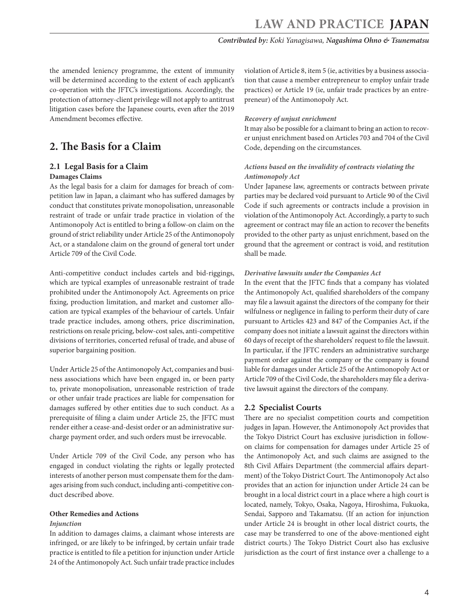<span id="page-3-0"></span>the amended leniency programme, the extent of immunity will be determined according to the extent of each applicant's co-operation with the JFTC's investigations. Accordingly, the protection of attorney-client privilege will not apply to antitrust litigation cases before the Japanese courts, even after the 2019 Amendment becomes effective.

# **2. The Basis for a Claim**

#### **2.1 Legal Basis for a Claim**

#### **Damages Claims**

As the legal basis for a claim for damages for breach of competition law in Japan, a claimant who has suffered damages by conduct that constitutes private monopolisation, unreasonable restraint of trade or unfair trade practice in violation of the Antimonopoly Act is entitled to bring a follow-on claim on the ground of strict reliability under Article 25 of the Antimonopoly Act, or a standalone claim on the ground of general tort under Article 709 of the Civil Code.

Anti-competitive conduct includes cartels and bid-riggings, which are typical examples of unreasonable restraint of trade prohibited under the Antimonopoly Act. Agreements on price fixing, production limitation, and market and customer allocation are typical examples of the behaviour of cartels. Unfair trade practice includes, among others, price discrimination, restrictions on resale pricing, below-cost sales, anti-competitive divisions of territories, concerted refusal of trade, and abuse of superior bargaining position.

Under Article 25 of the Antimonopoly Act, companies and business associations which have been engaged in, or been party to, private monopolisation, unreasonable restriction of trade or other unfair trade practices are liable for compensation for damages suffered by other entities due to such conduct. As a prerequisite of filing a claim under Article 25, the JFTC must render either a cease-and-desist order or an administrative surcharge payment order, and such orders must be irrevocable.

Under Article 709 of the Civil Code, any person who has engaged in conduct violating the rights or legally protected interests of another person must compensate them for the damages arising from such conduct, including anti-competitive conduct described above.

#### **Other Remedies and Actions**

#### *Injunction*

In addition to damages claims, a claimant whose interests are infringed, or are likely to be infringed, by certain unfair trade practice is entitled to file a petition for injunction under Article 24 of the Antimonopoly Act. Such unfair trade practice includes

violation of Article 8, item 5 (ie, activities by a business association that cause a member entrepreneur to employ unfair trade practices) or Article 19 (ie, unfair trade practices by an entrepreneur) of the Antimonopoly Act.

#### *Recovery of unjust enrichment*

It may also be possible for a claimant to bring an action to recover unjust enrichment based on Articles 703 and 704 of the Civil Code, depending on the circumstances.

#### *Actions based on the invalidity of contracts violating the Antimonopoly Act*

Under Japanese law, agreements or contracts between private parties may be declared void pursuant to Article 90 of the Civil Code if such agreements or contracts include a provision in violation of the Antimonopoly Act. Accordingly, a party to such agreement or contract may file an action to recover the benefits provided to the other party as unjust enrichment, based on the ground that the agreement or contract is void, and restitution shall be made.

#### *Derivative lawsuits under the Companies Act*

In the event that the JFTC finds that a company has violated the Antimonopoly Act, qualified shareholders of the company may file a lawsuit against the directors of the company for their wilfulness or negligence in failing to perform their duty of care pursuant to Articles 423 and 847 of the Companies Act, if the company does not initiate a lawsuit against the directors within 60 days of receipt of the shareholders' request to file the lawsuit. In particular, if the JFTC renders an administrative surcharge payment order against the company or the company is found liable for damages under Article 25 of the Antimonopoly Act or Article 709 of the Civil Code, the shareholders may file a derivative lawsuit against the directors of the company.

#### **2.2 Specialist Courts**

There are no specialist competition courts and competition judges in Japan. However, the Antimonopoly Act provides that the Tokyo District Court has exclusive jurisdiction in followon claims for compensation for damages under Article 25 of the Antimonopoly Act, and such claims are assigned to the 8th Civil Affairs Department (the commercial affairs department) of the Tokyo District Court. The Antimonopoly Act also provides that an action for injunction under Article 24 can be brought in a local district court in a place where a high court is located, namely, Tokyo, Osaka, Nagoya, Hiroshima, Fukuoka, Sendai, Sapporo and Takamatsu. (If an action for injunction under Article 24 is brought in other local district courts, the case may be transferred to one of the above-mentioned eight district courts.) The Tokyo District Court also has exclusive jurisdiction as the court of first instance over a challenge to a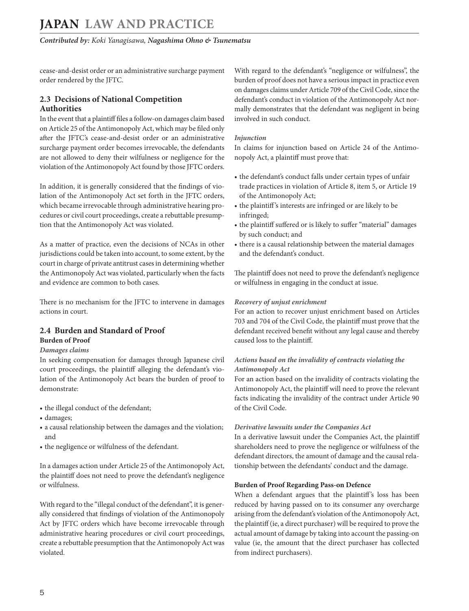<span id="page-4-0"></span>cease-and-desist order or an administrative surcharge payment order rendered by the JFTC.

#### **2.3 Decisions of National Competition Authorities**

In the event that a plaintiff files a follow-on damages claim based on Article 25 of the Antimonopoly Act, which may be filed only after the JFTC's cease-and-desist order or an administrative surcharge payment order becomes irrevocable, the defendants are not allowed to deny their wilfulness or negligence for the violation of the Antimonopoly Act found by those JFTC orders.

In addition, it is generally considered that the findings of violation of the Antimonopoly Act set forth in the JFTC orders, which became irrevocable through administrative hearing procedures or civil court proceedings, create a rebuttable presumption that the Antimonopoly Act was violated.

As a matter of practice, even the decisions of NCAs in other jurisdictions could be taken into account, to some extent, by the court in charge of private antitrust cases in determining whether the Antimonopoly Act was violated, particularly when the facts and evidence are common to both cases.

There is no mechanism for the JFTC to intervene in damages actions in court.

# **2.4 Burden and Standard of Proof**

#### **Burden of Proof**

#### *Damages claims*

In seeking compensation for damages through Japanese civil court proceedings, the plaintiff alleging the defendant's violation of the Antimonopoly Act bears the burden of proof to demonstrate:

- the illegal conduct of the defendant;
- damages;
- a causal relationship between the damages and the violation; and
- the negligence or wilfulness of the defendant.

In a damages action under Article 25 of the Antimonopoly Act, the plaintiff does not need to prove the defendant's negligence or wilfulness.

With regard to the "illegal conduct of the defendant", it is generally considered that findings of violation of the Antimonopoly Act by JFTC orders which have become irrevocable through administrative hearing procedures or civil court proceedings, create a rebuttable presumption that the Antimonopoly Act was violated.

With regard to the defendant's "negligence or wilfulness", the burden of proof does not have a serious impact in practice even on damages claims under Article 709 of the Civil Code, since the defendant's conduct in violation of the Antimonopoly Act normally demonstrates that the defendant was negligent in being involved in such conduct.

#### *Injunction*

In claims for injunction based on Article 24 of the Antimonopoly Act, a plaintiff must prove that:

- the defendant's conduct falls under certain types of unfair trade practices in violation of Article 8, item 5, or Article 19 of the Antimonopoly Act;
- the plaintiff 's interests are infringed or are likely to be infringed;
- the plaintiff suffered or is likely to suffer "material" damages by such conduct; and
- there is a causal relationship between the material damages and the defendant's conduct.

The plaintiff does not need to prove the defendant's negligence or wilfulness in engaging in the conduct at issue.

#### *Recovery of unjust enrichment*

For an action to recover unjust enrichment based on Articles 703 and 704 of the Civil Code, the plaintiff must prove that the defendant received benefit without any legal cause and thereby caused loss to the plaintiff.

#### *Actions based on the invalidity of contracts violating the Antimonopoly Act*

For an action based on the invalidity of contracts violating the Antimonopoly Act, the plaintiff will need to prove the relevant facts indicating the invalidity of the contract under Article 90 of the Civil Code.

#### *Derivative lawsuits under the Companies Act*

In a derivative lawsuit under the Companies Act, the plaintiff shareholders need to prove the negligence or wilfulness of the defendant directors, the amount of damage and the causal relationship between the defendants' conduct and the damage.

#### **Burden of Proof Regarding Pass-on Defence**

When a defendant argues that the plaintiff's loss has been reduced by having passed on to its consumer any overcharge arising from the defendant's violation of the Antimonopoly Act, the plaintiff (ie, a direct purchaser) will be required to prove the actual amount of damage by taking into account the passing-on value (ie, the amount that the direct purchaser has collected from indirect purchasers).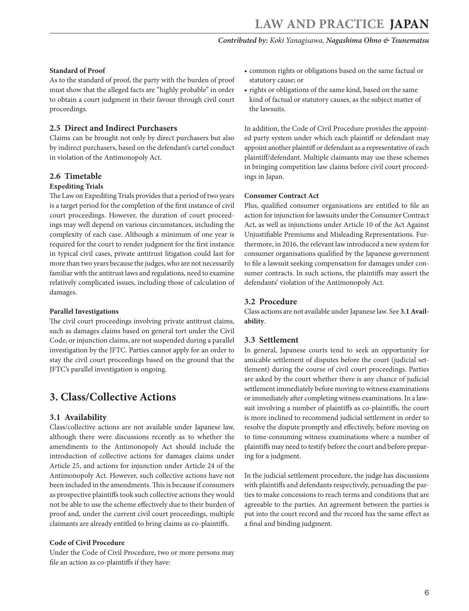#### <span id="page-5-0"></span>**Standard of Proof**

As to the standard of proof, the party with the burden of proof must show that the alleged facts are "highly probable" in order to obtain a court judgment in their favour through civil court proceedings.

#### **2.5 Direct and Indirect Purchasers**

Claims can be brought not only by direct purchasers but also by indirect purchasers, based on the defendant's cartel conduct in violation of the Antimonopoly Act.

#### **2.6 Timetable Expediting Trials**

The Law on Expediting Trials provides that a period of two years is a target period for the completion of the first instance of civil court proceedings. However, the duration of court proceedings may well depend on various circumstances, including the complexity of each case. Although a minimum of one year is required for the court to render judgment for the first instance in typical civil cases, private antitrust litigation could last for more than two years because the judges, who are not necessarily familiar with the antitrust laws and regulations, need to examine relatively complicated issues, including those of calculation of damages.

#### **Parallel Investigations**

The civil court proceedings involving private antitrust claims, such as damages claims based on general tort under the Civil Code, or injunction claims, are not suspended during a parallel investigation by the JFTC. Parties cannot apply for an order to stay the civil court proceedings based on the ground that the JFTC's parallel investigation is ongoing.

# **3. Class/Collective Actions**

#### **3.1 Availability**

Class/collective actions are not available under Japanese law, although there were discussions recently as to whether the amendments to the Antimonopoly Act should include the introduction of collective actions for damages claims under Article 25, and actions for injunction under Article 24 of the Antimonopoly Act. However, such collective actions have not been included in the amendments. This is because if consumers as prospective plaintiffs took such collective actions they would not be able to use the scheme effectively due to their burden of proof and, under the current civil court proceedings, multiple claimants are already entitled to bring claims as co-plaintiffs.

#### **Code of Civil Procedure**

Under the Code of Civil Procedure, two or more persons may file an action as co-plaintiffs if they have:

- common rights or obligations based on the same factual or statutory cause; or
- rights or obligations of the same kind, based on the same kind of factual or statutory causes, as the subject matter of the lawsuits.

In addition, the Code of Civil Procedure provides the appointed party system under which each plaintiff or defendant may appoint another plaintiff or defendant as a representative of each plaintiff/defendant. Multiple claimants may use these schemes in bringing competition law claims before civil court proceedings in Japan.

#### **Consumer Contract Act**

Plus, qualified consumer organisations are entitled to file an action for injunction for lawsuits under the Consumer Contract Act, as well as injunctions under Article 10 of the Act Against Unjustifiable Premiums and Misleading Representations. Furthermore, in 2016, the relevant law introduced a new system for consumer organisations qualified by the Japanese government to file a lawsuit seeking compensation for damages under consumer contracts. In such actions, the plaintiffs may assert the defendants' violation of the Antimonopoly Act.

#### **3.2 Procedure**

Class actions are not available under Japanese law. See **3.1 Availability**.

#### **3.3 Settlement**

In general, Japanese courts tend to seek an opportunity for amicable settlement of disputes before the court (judicial settlement) during the course of civil court proceedings. Parties are asked by the court whether there is any chance of judicial settlement immediately before moving to witness examinations or immediately after completing witness examinations. In a lawsuit involving a number of plaintiffs as co-plaintiffs, the court is more inclined to recommend judicial settlement in order to resolve the dispute promptly and effectively, before moving on to time-consuming witness examinations where a number of plaintiffs may need to testify before the court and before preparing for a judgment.

In the judicial settlement procedure, the judge has discussions with plaintiffs and defendants respectively, persuading the parties to make concessions to reach terms and conditions that are agreeable to the parties. An agreement between the parties is put into the court record and the record has the same effect as a final and binding judgment.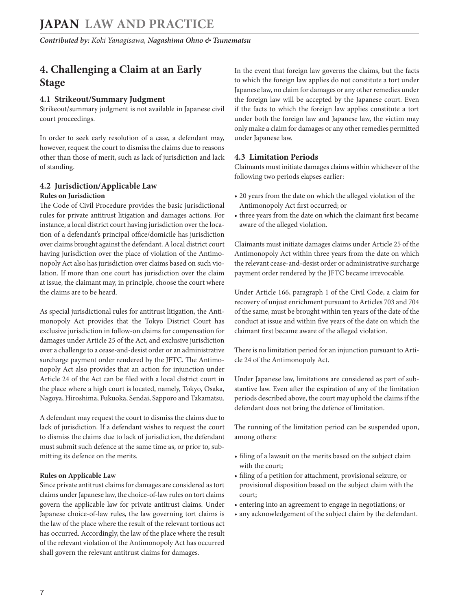# <span id="page-6-0"></span>**4. Challenging a Claim at an Early Stage**

#### **4.1 Strikeout/Summary Judgment**

Strikeout/summary judgment is not available in Japanese civil court proceedings.

In order to seek early resolution of a case, a defendant may, however, request the court to dismiss the claims due to reasons other than those of merit, such as lack of jurisdiction and lack of standing.

#### **4.2 Jurisdiction/Applicable Law Rules on Jurisdiction**

The Code of Civil Procedure provides the basic jurisdictional rules for private antitrust litigation and damages actions. For instance, a local district court having jurisdiction over the location of a defendant's principal office/domicile has jurisdiction over claims brought against the defendant. A local district court having jurisdiction over the place of violation of the Antimonopoly Act also has jurisdiction over claims based on such violation. If more than one court has jurisdiction over the claim at issue, the claimant may, in principle, choose the court where the claims are to be heard.

As special jurisdictional rules for antitrust litigation, the Antimonopoly Act provides that the Tokyo District Court has exclusive jurisdiction in follow-on claims for compensation for damages under Article 25 of the Act, and exclusive jurisdiction over a challenge to a cease-and-desist order or an administrative surcharge payment order rendered by the JFTC. The Antimonopoly Act also provides that an action for injunction under Article 24 of the Act can be filed with a local district court in the place where a high court is located, namely, Tokyo, Osaka, Nagoya, Hiroshima, Fukuoka, Sendai, Sapporo and Takamatsu.

A defendant may request the court to dismiss the claims due to lack of jurisdiction. If a defendant wishes to request the court to dismiss the claims due to lack of jurisdiction, the defendant must submit such defence at the same time as, or prior to, submitting its defence on the merits.

#### **Rules on Applicable Law**

Since private antitrust claims for damages are considered as tort claims under Japanese law, the choice-of-law rules on tort claims govern the applicable law for private antitrust claims. Under Japanese choice-of-law rules, the law governing tort claims is the law of the place where the result of the relevant tortious act has occurred. Accordingly, the law of the place where the result of the relevant violation of the Antimonopoly Act has occurred shall govern the relevant antitrust claims for damages.

In the event that foreign law governs the claims, but the facts to which the foreign law applies do not constitute a tort under Japanese law, no claim for damages or any other remedies under the foreign law will be accepted by the Japanese court. Even if the facts to which the foreign law applies constitute a tort under both the foreign law and Japanese law, the victim may only make a claim for damages or any other remedies permitted under Japanese law.

#### **4.3 Limitation Periods**

Claimants must initiate damages claims within whichever of the following two periods elapses earlier:

- 20 years from the date on which the alleged violation of the Antimonopoly Act first occurred; or
- three years from the date on which the claimant first became aware of the alleged violation.

Claimants must initiate damages claims under Article 25 of the Antimonopoly Act within three years from the date on which the relevant cease-and-desist order or administrative surcharge payment order rendered by the JFTC became irrevocable.

Under Article 166, paragraph 1 of the Civil Code, a claim for recovery of unjust enrichment pursuant to Articles 703 and 704 of the same, must be brought within ten years of the date of the conduct at issue and within five years of the date on which the claimant first became aware of the alleged violation.

There is no limitation period for an injunction pursuant to Article 24 of the Antimonopoly Act.

Under Japanese law, limitations are considered as part of substantive law. Even after the expiration of any of the limitation periods described above, the court may uphold the claims if the defendant does not bring the defence of limitation.

The running of the limitation period can be suspended upon, among others:

- filing of a lawsuit on the merits based on the subject claim with the court;
- filing of a petition for attachment, provisional seizure, or provisional disposition based on the subject claim with the court;
- entering into an agreement to engage in negotiations; or
- any acknowledgement of the subject claim by the defendant.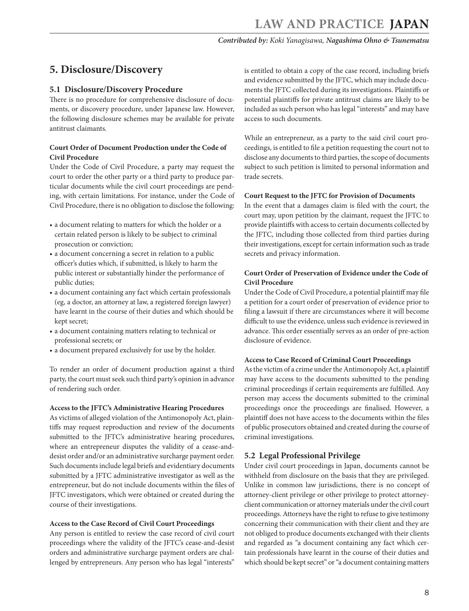# <span id="page-7-0"></span>**5. Disclosure/Discovery**

#### **5.1 Disclosure/Discovery Procedure**

There is no procedure for comprehensive disclosure of documents, or discovery procedure, under Japanese law. However, the following disclosure schemes may be available for private antitrust claimants.

#### **Court Order of Document Production under the Code of Civil Procedure**

Under the Code of Civil Procedure, a party may request the court to order the other party or a third party to produce particular documents while the civil court proceedings are pending, with certain limitations. For instance, under the Code of Civil Procedure, there is no obligation to disclose the following:

- a document relating to matters for which the holder or a certain related person is likely to be subject to criminal prosecution or conviction;
- a document concerning a secret in relation to a public officer's duties which, if submitted, is likely to harm the public interest or substantially hinder the performance of public duties;
- a document containing any fact which certain professionals (eg, a doctor, an attorney at law, a registered foreign lawyer) have learnt in the course of their duties and which should be kept secret;
- a document containing matters relating to technical or professional secrets; or
- a document prepared exclusively for use by the holder.

To render an order of document production against a third party, the court must seek such third party's opinion in advance of rendering such order.

#### **Access to the JFTC's Administrative Hearing Procedures**

As victims of alleged violation of the Antimonopoly Act, plaintiffs may request reproduction and review of the documents submitted to the JFTC's administrative hearing procedures, where an entrepreneur disputes the validity of a cease-anddesist order and/or an administrative surcharge payment order. Such documents include legal briefs and evidentiary documents submitted by a JFTC administrative investigator as well as the entrepreneur, but do not include documents within the files of JFTC investigators, which were obtained or created during the course of their investigations.

#### **Access to the Case Record of Civil Court Proceedings**

Any person is entitled to review the case record of civil court proceedings where the validity of the JFTC's cease-and-desist orders and administrative surcharge payment orders are challenged by entrepreneurs. Any person who has legal "interests"

is entitled to obtain a copy of the case record, including briefs and evidence submitted by the JFTC, which may include documents the JFTC collected during its investigations. Plaintiffs or potential plaintiffs for private antitrust claims are likely to be included as such person who has legal "interests" and may have access to such documents.

While an entrepreneur, as a party to the said civil court proceedings, is entitled to file a petition requesting the court not to disclose any documents to third parties, the scope of documents subject to such petition is limited to personal information and trade secrets.

#### **Court Request to the JFTC for Provision of Documents**

In the event that a damages claim is filed with the court, the court may, upon petition by the claimant, request the JFTC to provide plaintiffs with access to certain documents collected by the JFTC, including those collected from third parties during their investigations, except for certain information such as trade secrets and privacy information.

#### **Court Order of Preservation of Evidence under the Code of Civil Procedure**

Under the Code of Civil Procedure, a potential plaintiff may file a petition for a court order of preservation of evidence prior to filing a lawsuit if there are circumstances where it will become difficult to use the evidence, unless such evidence is reviewed in advance. This order essentially serves as an order of pre-action disclosure of evidence.

#### **Access to Case Record of Criminal Court Proceedings**

As the victim of a crime under the Antimonopoly Act, a plaintiff may have access to the documents submitted to the pending criminal proceedings if certain requirements are fulfilled. Any person may access the documents submitted to the criminal proceedings once the proceedings are finalised. However, a plaintiff does not have access to the documents within the files of public prosecutors obtained and created during the course of criminal investigations.

#### **5.2 Legal Professional Privilege**

Under civil court proceedings in Japan, documents cannot be withheld from disclosure on the basis that they are privileged. Unlike in common law jurisdictions, there is no concept of attorney-client privilege or other privilege to protect attorneyclient communication or attorney materials under the civil court proceedings. Attorneys have the right to refuse to give testimony concerning their communication with their client and they are not obliged to produce documents exchanged with their clients and regarded as "a document containing any fact which certain professionals have learnt in the course of their duties and which should be kept secret" or "a document containing matters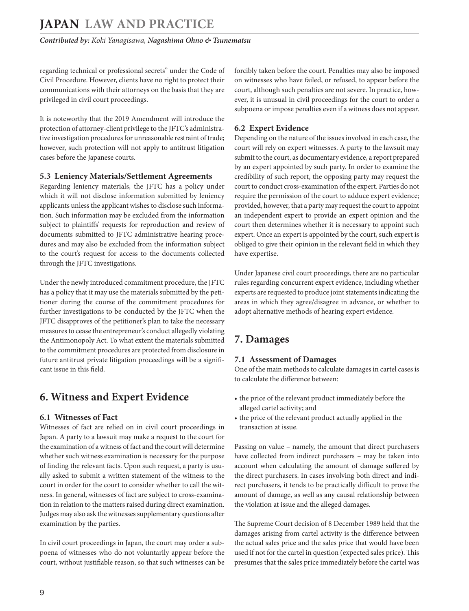<span id="page-8-0"></span>regarding technical or professional secrets" under the Code of Civil Procedure. However, clients have no right to protect their communications with their attorneys on the basis that they are privileged in civil court proceedings.

It is noteworthy that the 2019 Amendment will introduce the protection of attorney-client privilege to the JFTC's administrative investigation procedures for unreasonable restraint of trade; however, such protection will not apply to antitrust litigation cases before the Japanese courts.

#### **5.3 Leniency Materials/Settlement Agreements**

Regarding leniency materials, the JFTC has a policy under which it will not disclose information submitted by leniency applicants unless the applicant wishes to disclose such information. Such information may be excluded from the information subject to plaintiffs' requests for reproduction and review of documents submitted to JFTC administrative hearing procedures and may also be excluded from the information subject to the court's request for access to the documents collected through the JFTC investigations.

Under the newly introduced commitment procedure, the JFTC has a policy that it may use the materials submitted by the petitioner during the course of the commitment procedures for further investigations to be conducted by the JFTC when the JFTC disapproves of the petitioner's plan to take the necessary measures to cease the entrepreneur's conduct allegedly violating the Antimonopoly Act. To what extent the materials submitted to the commitment procedures are protected from disclosure in future antitrust private litigation proceedings will be a significant issue in this field.

# **6. Witness and Expert Evidence**

#### **6.1 Witnesses of Fact**

Witnesses of fact are relied on in civil court proceedings in Japan. A party to a lawsuit may make a request to the court for the examination of a witness of fact and the court will determine whether such witness examination is necessary for the purpose of finding the relevant facts. Upon such request, a party is usually asked to submit a written statement of the witness to the court in order for the court to consider whether to call the witness. In general, witnesses of fact are subject to cross-examination in relation to the matters raised during direct examination. Judges may also ask the witnesses supplementary questions after examination by the parties.

In civil court proceedings in Japan, the court may order a subpoena of witnesses who do not voluntarily appear before the court, without justifiable reason, so that such witnesses can be forcibly taken before the court. Penalties may also be imposed on witnesses who have failed, or refused, to appear before the court, although such penalties are not severe. In practice, however, it is unusual in civil proceedings for the court to order a subpoena or impose penalties even if a witness does not appear.

#### **6.2 Expert Evidence**

Depending on the nature of the issues involved in each case, the court will rely on expert witnesses. A party to the lawsuit may submit to the court, as documentary evidence, a report prepared by an expert appointed by such party. In order to examine the credibility of such report, the opposing party may request the court to conduct cross-examination of the expert. Parties do not require the permission of the court to adduce expert evidence; provided, however, that a party may request the court to appoint an independent expert to provide an expert opinion and the court then determines whether it is necessary to appoint such expert. Once an expert is appointed by the court, such expert is obliged to give their opinion in the relevant field in which they have expertise.

Under Japanese civil court proceedings, there are no particular rules regarding concurrent expert evidence, including whether experts are requested to produce joint statements indicating the areas in which they agree/disagree in advance, or whether to adopt alternative methods of hearing expert evidence.

# **7. Damages**

#### **7.1 Assessment of Damages**

One of the main methods to calculate damages in cartel cases is to calculate the difference between:

- the price of the relevant product immediately before the alleged cartel activity; and
- the price of the relevant product actually applied in the transaction at issue.

Passing on value – namely, the amount that direct purchasers have collected from indirect purchasers – may be taken into account when calculating the amount of damage suffered by the direct purchasers. In cases involving both direct and indirect purchasers, it tends to be practically difficult to prove the amount of damage, as well as any causal relationship between the violation at issue and the alleged damages.

The Supreme Court decision of 8 December 1989 held that the damages arising from cartel activity is the difference between the actual sales price and the sales price that would have been used if not for the cartel in question (expected sales price). This presumes that the sales price immediately before the cartel was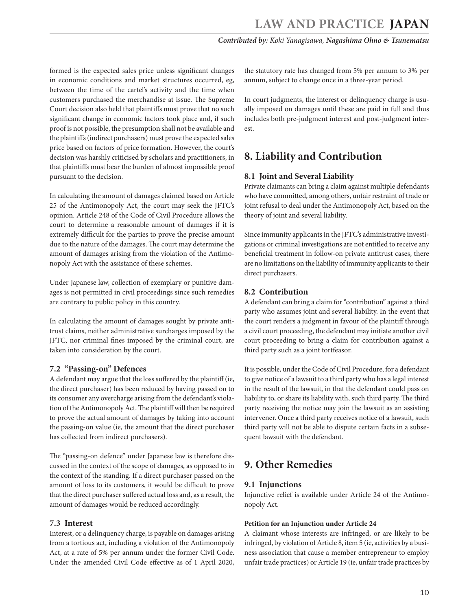<span id="page-9-0"></span>formed is the expected sales price unless significant changes in economic conditions and market structures occurred, eg, between the time of the cartel's activity and the time when customers purchased the merchandise at issue. The Supreme Court decision also held that plaintiffs must prove that no such significant change in economic factors took place and, if such proof is not possible, the presumption shall not be available and the plaintiffs (indirect purchasers) must prove the expected sales price based on factors of price formation. However, the court's decision was harshly criticised by scholars and practitioners, in that plaintiffs must bear the burden of almost impossible proof pursuant to the decision.

In calculating the amount of damages claimed based on Article 25 of the Antimonopoly Act, the court may seek the JFTC's opinion. Article 248 of the Code of Civil Procedure allows the court to determine a reasonable amount of damages if it is extremely difficult for the parties to prove the precise amount due to the nature of the damages. The court may determine the amount of damages arising from the violation of the Antimonopoly Act with the assistance of these schemes.

Under Japanese law, collection of exemplary or punitive damages is not permitted in civil proceedings since such remedies are contrary to public policy in this country.

In calculating the amount of damages sought by private antitrust claims, neither administrative surcharges imposed by the JFTC, nor criminal fines imposed by the criminal court, are taken into consideration by the court.

#### **7.2 "Passing-on" Defences**

A defendant may argue that the loss suffered by the plaintiff (ie, the direct purchaser) has been reduced by having passed on to its consumer any overcharge arising from the defendant's violation of the Antimonopoly Act. The plaintiff will then be required to prove the actual amount of damages by taking into account the passing-on value (ie, the amount that the direct purchaser has collected from indirect purchasers).

The "passing-on defence" under Japanese law is therefore discussed in the context of the scope of damages, as opposed to in the context of the standing. If a direct purchaser passed on the amount of loss to its customers, it would be difficult to prove that the direct purchaser suffered actual loss and, as a result, the amount of damages would be reduced accordingly.

#### **7.3 Interest**

Interest, or a delinquency charge, is payable on damages arising from a tortious act, including a violation of the Antimonopoly Act, at a rate of 5% per annum under the former Civil Code. Under the amended Civil Code effective as of 1 April 2020,

the statutory rate has changed from 5% per annum to 3% per annum, subject to change once in a three-year period.

In court judgments, the interest or delinquency charge is usually imposed on damages until these are paid in full and thus includes both pre-judgment interest and post-judgment interest.

# **8. Liability and Contribution**

#### **8.1 Joint and Several Liability**

Private claimants can bring a claim against multiple defendants who have committed, among others, unfair restraint of trade or joint refusal to deal under the Antimonopoly Act, based on the theory of joint and several liability.

Since immunity applicants in the JFTC's administrative investigations or criminal investigations are not entitled to receive any beneficial treatment in follow-on private antitrust cases, there are no limitations on the liability of immunity applicants to their direct purchasers.

#### **8.2 Contribution**

A defendant can bring a claim for "contribution" against a third party who assumes joint and several liability. In the event that the court renders a judgment in favour of the plaintiff through a civil court proceeding, the defendant may initiate another civil court proceeding to bring a claim for contribution against a third party such as a joint tortfeasor.

It is possible, under the Code of Civil Procedure, for a defendant to give notice of a lawsuit to a third party who has a legal interest in the result of the lawsuit, in that the defendant could pass on liability to, or share its liability with, such third party. The third party receiving the notice may join the lawsuit as an assisting intervener. Once a third party receives notice of a lawsuit, such third party will not be able to dispute certain facts in a subsequent lawsuit with the defendant.

# **9. Other Remedies**

#### **9.1 Injunctions**

Injunctive relief is available under Article 24 of the Antimonopoly Act.

#### **Petition for an Injunction under Article 24**

A claimant whose interests are infringed, or are likely to be infringed, by violation of Article 8, item 5 (ie, activities by a business association that cause a member entrepreneur to employ unfair trade practices) or Article 19 (ie, unfair trade practices by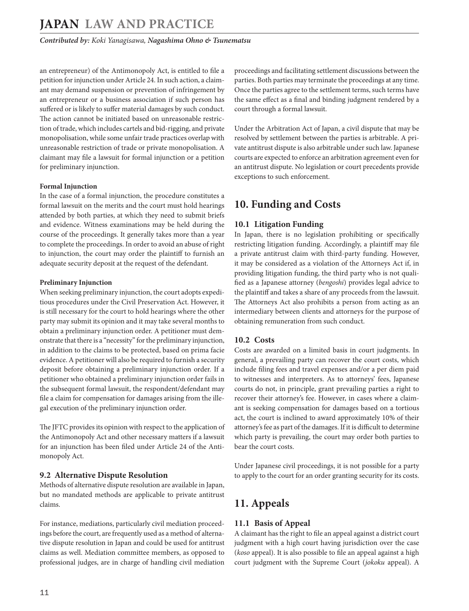<span id="page-10-0"></span>an entrepreneur) of the Antimonopoly Act, is entitled to file a petition for injunction under Article 24. In such action, a claimant may demand suspension or prevention of infringement by an entrepreneur or a business association if such person has suffered or is likely to suffer material damages by such conduct. The action cannot be initiated based on unreasonable restriction of trade, which includes cartels and bid-rigging, and private monopolisation, while some unfair trade practices overlap with unreasonable restriction of trade or private monopolisation. A claimant may file a lawsuit for formal injunction or a petition for preliminary injunction.

#### **Formal Injunction**

In the case of a formal injunction, the procedure constitutes a formal lawsuit on the merits and the court must hold hearings attended by both parties, at which they need to submit briefs and evidence. Witness examinations may be held during the course of the proceedings. It generally takes more than a year to complete the proceedings. In order to avoid an abuse of right to injunction, the court may order the plaintiff to furnish an adequate security deposit at the request of the defendant.

#### **Preliminary Injunction**

When seeking preliminary injunction, the court adopts expeditious procedures under the Civil Preservation Act. However, it is still necessary for the court to hold hearings where the other party may submit its opinion and it may take several months to obtain a preliminary injunction order. A petitioner must demonstrate that there is a "necessity" for the preliminary injunction, in addition to the claims to be protected, based on prima facie evidence. A petitioner will also be required to furnish a security deposit before obtaining a preliminary injunction order. If a petitioner who obtained a preliminary injunction order fails in the subsequent formal lawsuit, the respondent/defendant may file a claim for compensation for damages arising from the illegal execution of the preliminary injunction order.

The JFTC provides its opinion with respect to the application of the Antimonopoly Act and other necessary matters if a lawsuit for an injunction has been filed under Article 24 of the Antimonopoly Act.

#### **9.2 Alternative Dispute Resolution**

Methods of alternative dispute resolution are available in Japan, but no mandated methods are applicable to private antitrust claims.

For instance, mediations, particularly civil mediation proceedings before the court, are frequently used as a method of alternative dispute resolution in Japan and could be used for antitrust claims as well. Mediation committee members, as opposed to professional judges, are in charge of handling civil mediation proceedings and facilitating settlement discussions between the parties. Both parties may terminate the proceedings at any time. Once the parties agree to the settlement terms, such terms have the same effect as a final and binding judgment rendered by a court through a formal lawsuit.

Under the Arbitration Act of Japan, a civil dispute that may be resolved by settlement between the parties is arbitrable. A private antitrust dispute is also arbitrable under such law. Japanese courts are expected to enforce an arbitration agreement even for an antitrust dispute. No legislation or court precedents provide exceptions to such enforcement.

# **10. Funding and Costs**

#### **10.1 Litigation Funding**

In Japan, there is no legislation prohibiting or specifically restricting litigation funding. Accordingly, a plaintiff may file a private antitrust claim with third-party funding. However, it may be considered as a violation of the Attorneys Act if, in providing litigation funding, the third party who is not qualified as a Japanese attorney (*bengoshi*) provides legal advice to the plaintiff and takes a share of any proceeds from the lawsuit. The Attorneys Act also prohibits a person from acting as an intermediary between clients and attorneys for the purpose of obtaining remuneration from such conduct.

#### **10.2 Costs**

Costs are awarded on a limited basis in court judgments. In general, a prevailing party can recover the court costs, which include filing fees and travel expenses and/or a per diem paid to witnesses and interpreters. As to attorneys' fees, Japanese courts do not, in principle, grant prevailing parties a right to recover their attorney's fee. However, in cases where a claimant is seeking compensation for damages based on a tortious act, the court is inclined to award approximately 10% of their attorney's fee as part of the damages. If it is difficult to determine which party is prevailing, the court may order both parties to bear the court costs.

Under Japanese civil proceedings, it is not possible for a party to apply to the court for an order granting security for its costs.

# **11. Appeals**

#### **11.1 Basis of Appeal**

A claimant has the right to file an appeal against a district court judgment with a high court having jurisdiction over the case (*koso* appeal). It is also possible to file an appeal against a high court judgment with the Supreme Court (*jokoku* appeal). A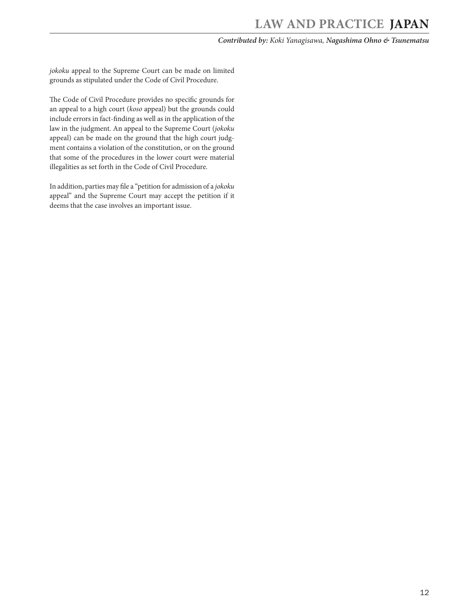*jokoku* appeal to the Supreme Court can be made on limited grounds as stipulated under the Code of Civil Procedure.

The Code of Civil Procedure provides no specific grounds for an appeal to a high court (*koso* appeal) but the grounds could include errors in fact-finding as well as in the application of the law in the judgment. An appeal to the Supreme Court (*jokoku* appeal) can be made on the ground that the high court judgment contains a violation of the constitution, or on the ground that some of the procedures in the lower court were material illegalities as set forth in the Code of Civil Procedure.

In addition, parties may file a "petition for admission of a *jokoku* appeal" and the Supreme Court may accept the petition if it deems that the case involves an important issue.